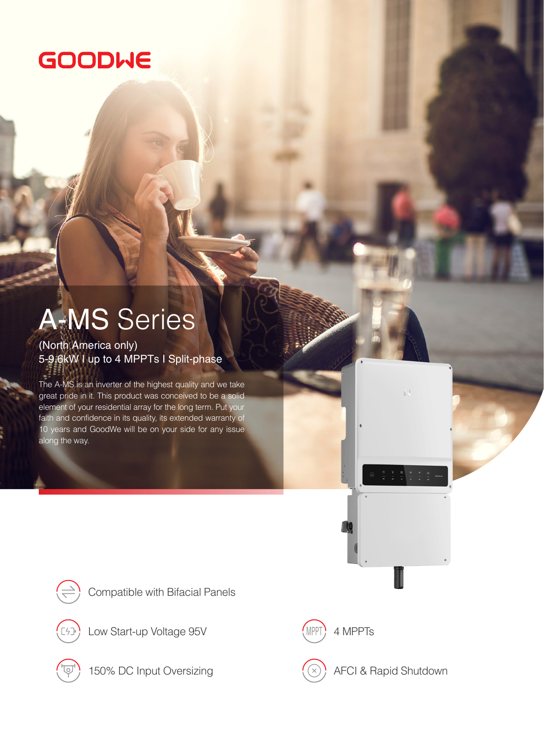## **GOODWE**

## A-MS Series

(North America only) 5-9.6kW I up to 4 MPPTs I Split-phase

The A-MS is an inverter of the highest quality and we take great pride in it. This product was conceived to be a solid element of your residential array for the long term. Put your faith and confidence in its quality, its extended warranty of 10 years and GoodWe will be on your side for any issue along the way.







Low Start-up Voltage 95V (MPPT) 4 MPPTs



150% DC Input Oversizing  $(\otimes)$  AFCI & Rapid Shutdown

 $\mathbf{L}$